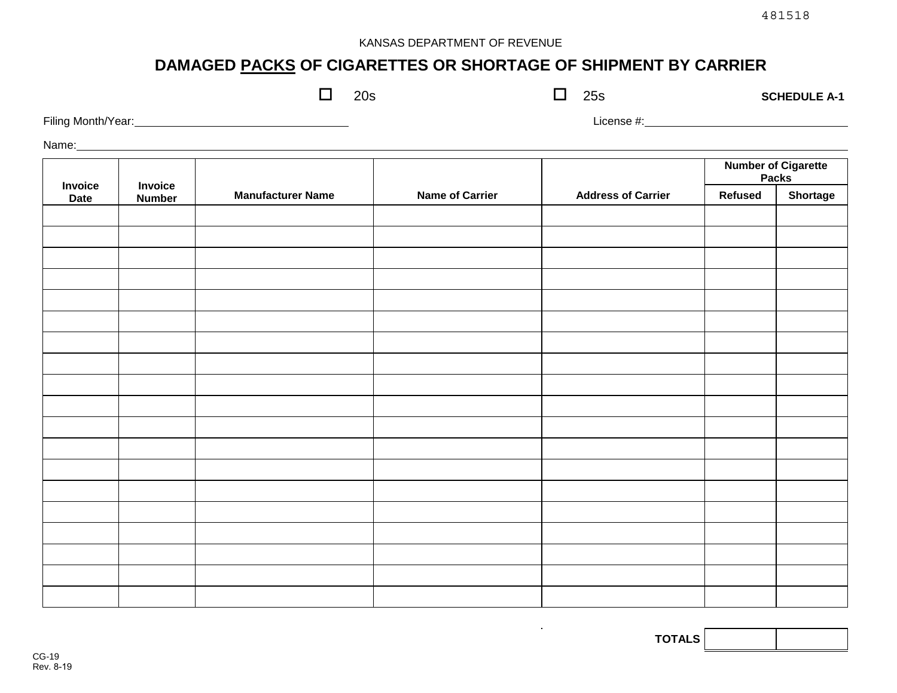## KANSAS DEPARTMENT OF REVENUE

# **DAMAGED PACKS OF CIGARETTES OR SHORTAGE OF SHIPMENT BY CARRIER**

|                    |  | 20s | 25s        | <b>SCHEDULE A-1</b>        |
|--------------------|--|-----|------------|----------------------------|
| Filing Month/Year: |  |     | License #: |                            |
| Name:              |  |     |            |                            |
|                    |  |     |            | <b>Number of Cigarette</b> |

|                        |                          |                          |                        |                           | <b>Number of Cigarette<br/>Packs</b> |          |
|------------------------|--------------------------|--------------------------|------------------------|---------------------------|--------------------------------------|----------|
| Invoice<br><b>Date</b> | Invoice<br><b>Number</b> | <b>Manufacturer Name</b> | <b>Name of Carrier</b> | <b>Address of Carrier</b> | Refused                              | Shortage |
|                        |                          |                          |                        |                           |                                      |          |
|                        |                          |                          |                        |                           |                                      |          |
|                        |                          |                          |                        |                           |                                      |          |
|                        |                          |                          |                        |                           |                                      |          |
|                        |                          |                          |                        |                           |                                      |          |
|                        |                          |                          |                        |                           |                                      |          |
|                        |                          |                          |                        |                           |                                      |          |
|                        |                          |                          |                        |                           |                                      |          |
|                        |                          |                          |                        |                           |                                      |          |
|                        |                          |                          |                        |                           |                                      |          |
|                        |                          |                          |                        |                           |                                      |          |
|                        |                          |                          |                        |                           |                                      |          |
|                        |                          |                          |                        |                           |                                      |          |
|                        |                          |                          |                        |                           |                                      |          |
|                        |                          |                          |                        |                           |                                      |          |
|                        |                          |                          |                        |                           |                                      |          |
|                        |                          |                          |                        |                           |                                      |          |
|                        |                          |                          |                        |                           |                                      |          |
|                        |                          |                          |                        |                           |                                      |          |